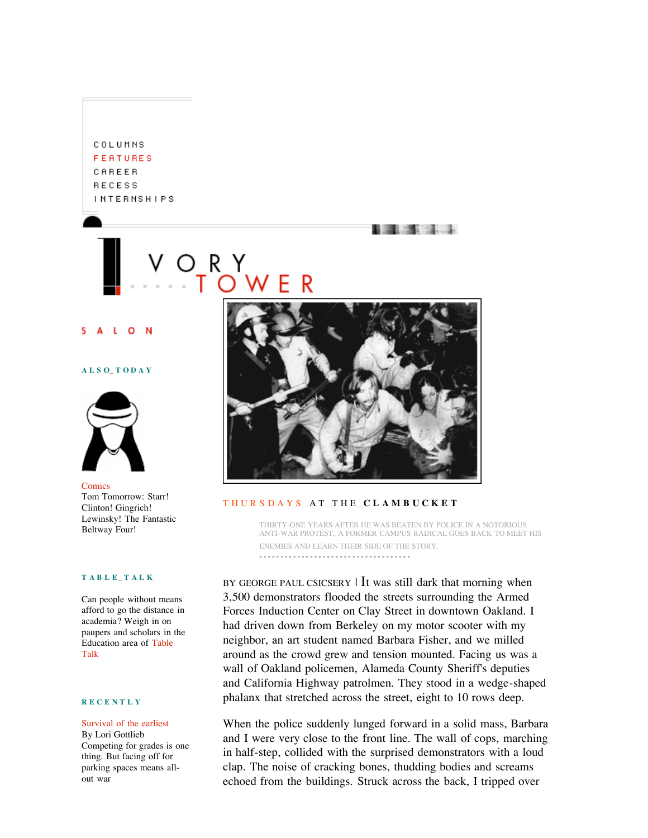COLUMNS **FEATURES** CAREER **RECESS INTERNSHIPS** 

 $\Omega$ 

## **A L S O\_ T O D A Y**



Comics Tom Tomorrow: Starr! Clinton! Gingrich! Lewinsky! The Fantastic Beltway Four!

### **T A B L E\_ T A L K**

Can people without means afford to go the distance in academia? Weigh in on paupers and scholars in the Education area of Table Talk

# **R E C E N T L Y**

# Survival of the earliest By Lori Gottlieb Competing for grades is one

thing. But facing off for parking spaces means allout war



# T H U R S D A Y S\_\_A T\_\_T H E\_\_**C L A M B U C K E T**

THIRTY-ONE YEARS AFTER HE WAS BEATEN BY POLICE IN A NOTORIOUS ANTI-WAR PROTEST, A FORMER CAMPUS RADICAL GOES BACK TO MEET HIS ENEMIES AND LEARN THEIR SIDE OF THE STORY. - - - - - - - - - - - - - - - - - - - - - - - - - - - - - - - - - - - -

**REAL PROPERTY** 

BY GEORGE PAUL CSICSERY  $\vert$  It was still dark that morning when 3,500 demonstrators flooded the streets surrounding the Armed Forces Induction Center on Clay Street in downtown Oakland. I had driven down from Berkeley on my motor scooter with my neighbor, an art student named Barbara Fisher, and we milled around as the crowd grew and tension mounted. Facing us was a wall of Oakland policemen, Alameda County Sheriff's deputies and California Highway patrolmen. They stood in a wedge-shaped phalanx that stretched across the street, eight to 10 rows deep.

When the police suddenly lunged forward in a solid mass, Barbara and I were very close to the front line. The wall of cops, marching in half-step, collided with the surprised demonstrators with a loud clap. The noise of cracking bones, thudding bodies and screams echoed from the buildings. Struck across the back, I tripped over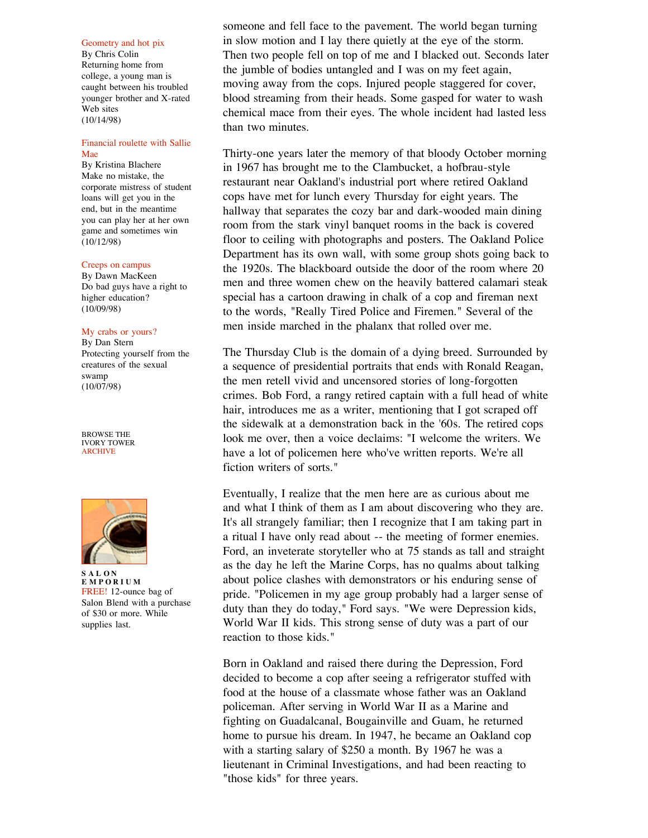#### Geometry and hot pix

By Chris Colin Returning home from college, a young man is caught between his troubled younger brother and X-rated Web sites (10/14/98)

## Financial roulette with Sallie Mae

By Kristina Blachere Make no mistake, the corporate mistress of student loans will get you in the end, but in the meantime you can play her at her own game and sometimes win (10/12/98)

#### Creeps on campus

By Dawn MacKeen Do bad guys have a right to higher education? (10/09/98)

#### My crabs or yours?

By Dan Stern Protecting yourself from the creatures of the sexual swamp (10/07/98)

BROWSE THE IVORY TOWER ARCHIVE



**S A L O N E M P O R I U M** FREE! 12-ounce bag of Salon Blend with a purchase of \$30 or more. While supplies last.

someone and fell face to the pavement. The world began turning in slow motion and I lay there quietly at the eye of the storm. Then two people fell on top of me and I blacked out. Seconds later the jumble of bodies untangled and I was on my feet again, moving away from the cops. Injured people staggered for cover, blood streaming from their heads. Some gasped for water to wash chemical mace from their eyes. The whole incident had lasted less than two minutes.

Thirty-one years later the memory of that bloody October morning in 1967 has brought me to the Clambucket, a hofbrau-style restaurant near Oakland's industrial port where retired Oakland cops have met for lunch every Thursday for eight years. The hallway that separates the cozy bar and dark-wooded main dining room from the stark vinyl banquet rooms in the back is covered floor to ceiling with photographs and posters. The Oakland Police Department has its own wall, with some group shots going back to the 1920s. The blackboard outside the door of the room where 20 men and three women chew on the heavily battered calamari steak special has a cartoon drawing in chalk of a cop and fireman next to the words, "Really Tired Police and Firemen." Several of the men inside marched in the phalanx that rolled over me.

The Thursday Club is the domain of a dying breed. Surrounded by a sequence of presidential portraits that ends with Ronald Reagan, the men retell vivid and uncensored stories of long-forgotten crimes. Bob Ford, a rangy retired captain with a full head of white hair, introduces me as a writer, mentioning that I got scraped off the sidewalk at a demonstration back in the '60s. The retired cops look me over, then a voice declaims: "I welcome the writers. We have a lot of policemen here who've written reports. We're all fiction writers of sorts."

Eventually, I realize that the men here are as curious about me and what I think of them as I am about discovering who they are. It's all strangely familiar; then I recognize that I am taking part in a ritual I have only read about -- the meeting of former enemies. Ford, an inveterate storyteller who at 75 stands as tall and straight as the day he left the Marine Corps, has no qualms about talking about police clashes with demonstrators or his enduring sense of pride. "Policemen in my age group probably had a larger sense of duty than they do today," Ford says. "We were Depression kids, World War II kids. This strong sense of duty was a part of our reaction to those kids."

Born in Oakland and raised there during the Depression, Ford decided to become a cop after seeing a refrigerator stuffed with food at the house of a classmate whose father was an Oakland policeman. After serving in World War II as a Marine and fighting on Guadalcanal, Bougainville and Guam, he returned home to pursue his dream. In 1947, he became an Oakland cop with a starting salary of \$250 a month. By 1967 he was a lieutenant in Criminal Investigations, and had been reacting to "those kids" for three years.